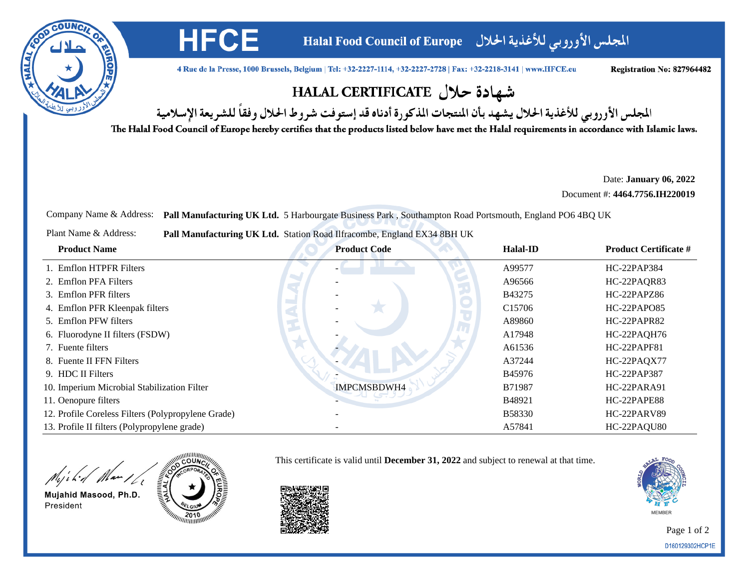

المجلس الأوروبي للأغذية الحلال Halal Food Council of Europe

4 Rue de la Presse, 1000 Brussels, Belgium | Tel: +32-2227-1114, +32-2227-2728 | Fax: +32-2218-3141 | www.HFCE.eu

Registration No: 827964482

## شهادة حلال HALAL CERTIFICATE

المجلس الأوروبي للأغذية الحلال يشهد بأن المنتجات المذكورة أدناه قد إستوفت شروط الحلال وفقاً للشريعة الإسلامية

The Halal Food Council of Europe hereby certifies that the products listed below have met the Halal requirements in accordance with Islamic laws.

Date: **January 06, 2022**

Document #: **4464.7756.IH220019**

Company Name & Address: **Pall Manufacturing UK Ltd.** 5 Harbourgate Business Park , Southampton Road Portsmouth, England PO6 4BQ UK

| Plant Name & Address:<br>Pall Manufacturing UK Ltd. Station Road Ilfracombe, England EX34 8BH UK |                     |                    |                              |
|--------------------------------------------------------------------------------------------------|---------------------|--------------------|------------------------------|
| <b>Product Name</b>                                                                              | <b>Product Code</b> | <b>Halal-ID</b>    | <b>Product Certificate #</b> |
| 1. Emflon HTPFR Filters                                                                          |                     | A99577             | HC-22PAP384                  |
| 2. Emflon PFA Filters                                                                            |                     | A96566             | HC-22PAQR83                  |
| 3. Emflon PFR filters                                                                            |                     | B43275             | HC-22PAPZ86                  |
| 4. Emflon PFR Kleenpak filters                                                                   |                     | C <sub>15706</sub> | HC-22PAPO85                  |
| 5. Emflon PFW filters                                                                            |                     | A89860             | HC-22PAPR82                  |
| 6. Fluorodyne II filters (FSDW)                                                                  |                     | A17948             | HC-22PAQH76                  |
| 7. Fuente filters                                                                                |                     | A61536             | HC-22PAPF81                  |
| 8. Fuente II FFN Filters                                                                         |                     | A37244             | HC-22PAQX77                  |
| 9. HDC II Filters                                                                                |                     | B45976             | HC-22PAP387                  |
| 10. Imperium Microbial Stabilization Filter                                                      | IMPCMSBDWH4         | B71987             | HC-22PARA91                  |
| 11. Oenopure filters                                                                             |                     | B48921             | HC-22PAPE88                  |
| 12. Profile Coreless Filters (Polypropylene Grade)                                               |                     | <b>B58330</b>      | HC-22PARV89                  |
| 13. Profile II filters (Polypropylene grade)                                                     |                     | A57841             | HC-22PAQU80                  |

This certificate is valid until **December 31, 2022** and subject to renewal at that time.

Might Man 16

Mujahid Masood, Ph.D. President



**HFCE** 

**MEMBER** 

Page 1 of 2D160129302HCP1E